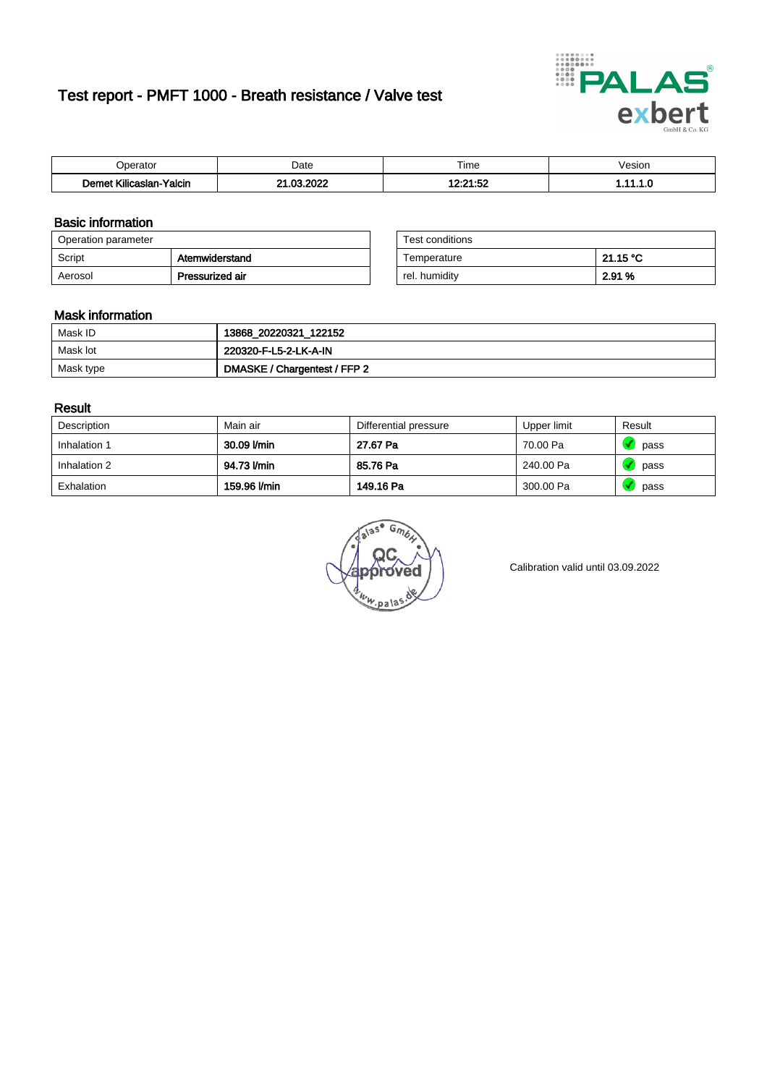# Test report - PMFT 1000 - Breath resistance / Valve test



| n<br>aw                                                                | Date          | $- \cdot$<br>l ime | esion/ |
|------------------------------------------------------------------------|---------------|--------------------|--------|
| -<br>1000 <sub>1</sub><br><b>Yalcin</b><br>aslan<br>KIIIC <sup>2</sup> | 000<br>$\sim$ | 10.04.50<br>.      | . v    |

### Basic information

| Operation parameter |                 | Test conditions |          |
|---------------------|-----------------|-----------------|----------|
| Script              | Atemwiderstand  | Temperature     | 21.15 °C |
| Aerosol             | Pressurized air | rel. humidity   | 2.91 %   |

| Test conditions |          |  |
|-----------------|----------|--|
| Temperature     | 21.15 °C |  |
| rel. humidity   | 2.91 %   |  |

#### Mask information

| Mask ID   | 13868_20220321_122152        |
|-----------|------------------------------|
| Mask lot  | 220320-F-L5-2-LK-A-IN        |
| Mask type | DMASKE / Chargentest / FFP 2 |

### Result

| Description  | Main air     | Differential pressure | Upper limit | Result |
|--------------|--------------|-----------------------|-------------|--------|
| Inhalation 1 | 30.09 l/min  | 27.67 Pa              | 70.00 Pa    | pass   |
| Inhalation 2 | 94.73 l/min  | 85.76 Pa              | 240.00 Pa   | pass   |
| Exhalation   | 159.96 l/min | 149.16 Pa             | 300.00 Pa   | pass   |

w.pala

Calibration valid until 03.09.2022